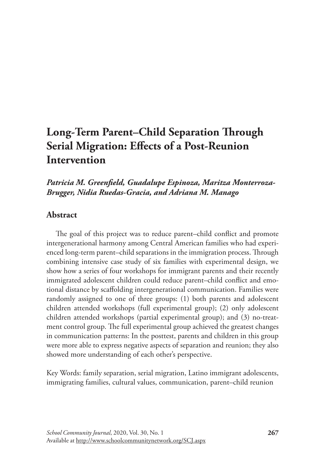# **Long-Term Parent–Child Separation Through Serial Migration: Effects of a Post-Reunion Intervention**

# *Patricia M. Greenfield, Guadalupe Espinoza, Maritza Monterroza-Brugger, Nidia Ruedas-Gracia, and Adriana M. Manago*

# **Abstract**

The goal of this project was to reduce parent–child conflict and promote intergenerational harmony among Central American families who had experienced long-term parent–child separations in the immigration process. Through combining intensive case study of six families with experimental design, we show how a series of four workshops for immigrant parents and their recently immigrated adolescent children could reduce parent–child conflict and emotional distance by scaffolding intergenerational communication. Families were randomly assigned to one of three groups: (1) both parents and adolescent children attended workshops (full experimental group); (2) only adolescent children attended workshops (partial experimental group); and (3) no-treatment control group. The full experimental group achieved the greatest changes in communication patterns: In the posttest, parents and children in this group were more able to express negative aspects of separation and reunion; they also showed more understanding of each other's perspective.

Key Words: family separation, serial migration, Latino immigrant adolescents, immigrating families, cultural values, communication, parent–child reunion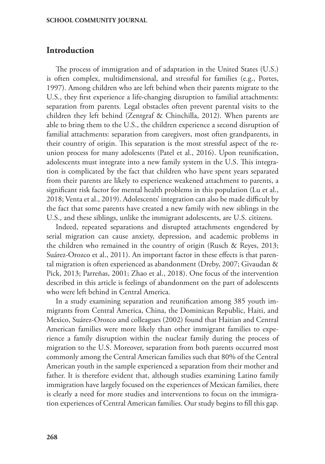# **Introduction**

The process of immigration and of adaptation in the United States (U.S.) is often complex, multidimensional, and stressful for families (e.g., Portes, 1997). Among children who are left behind when their parents migrate to the U.S., they first experience a life-changing disruption to familial attachments: separation from parents. Legal obstacles often prevent parental visits to the children they left behind (Zentgraf & Chinchilla, 2012). When parents are able to bring them to the U.S., the children experience a second disruption of familial attachments: separation from caregivers, most often grandparents, in their country of origin. This separation is the most stressful aspect of the reunion process for many adolescents (Patel et al., 2016). Upon reunification, adolescents must integrate into a new family system in the U.S. This integration is complicated by the fact that children who have spent years separated from their parents are likely to experience weakened attachment to parents, a significant risk factor for mental health problems in this population (Lu et al., 2018; Venta et al., 2019). Adolescents' integration can also be made difficult by the fact that some parents have created a new family with new siblings in the U.S., and these siblings, unlike the immigrant adolescents, are U.S. citizens.

Indeed, repeated separations and disrupted attachments engendered by serial migration can cause anxiety, depression, and academic problems in the children who remained in the country of origin (Rusch & Reyes, 2013; Suárez-Orozco et al., 2011). An important factor in these effects is that parental migration is often experienced as abandonment (Dreby, 2007; Givaudan & Pick, 2013; Parreñas, 2001; Zhao et al., 2018). One focus of the intervention described in this article is feelings of abandonment on the part of adolescents who were left behind in Central America.

In a study examining separation and reunification among 385 youth immigrants from Central America, China, the Dominican Republic, Haiti, and Mexico, Suárez-Orozco and colleagues (2002) found that Haitian and Central American families were more likely than other immigrant families to experience a family disruption within the nuclear family during the process of migration to the U.S. Moreover, separation from both parents occurred most commonly among the Central American families such that 80% of the Central American youth in the sample experienced a separation from their mother and father. It is therefore evident that, although studies examining Latino family immigration have largely focused on the experiences of Mexican families, there is clearly a need for more studies and interventions to focus on the immigration experiences of Central American families. Our study begins to fill this gap.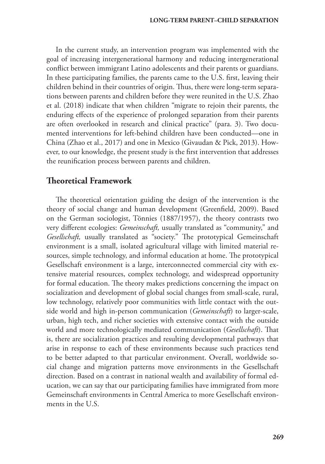In the current study, an intervention program was implemented with the goal of increasing intergenerational harmony and reducing intergenerational conflict between immigrant Latino adolescents and their parents or guardians. In these participating families, the parents came to the U.S. first, leaving their children behind in their countries of origin. Thus, there were long-term separations between parents and children before they were reunited in the U.S. Zhao et al. (2018) indicate that when children "migrate to rejoin their parents, the enduring effects of the experience of prolonged separation from their parents are often overlooked in research and clinical practice" (para. 3). Two documented interventions for left-behind children have been conducted—one in China (Zhao et al., 2017) and one in Mexico (Givaudan & Pick, 2013). However, to our knowledge, the present study is the first intervention that addresses the reunification process between parents and children.

# **Theoretical Framework**

The theoretical orientation guiding the design of the intervention is the theory of social change and human development (Greenfield, 2009). Based on the German sociologist, Tönnies (1887/1957), the theory contrasts two very different ecologies: *Gemeinschaft,* usually translated as "community," and *Gesellschaft,* usually translated as "society." The prototypical Gemeinschaft environment is a small, isolated agricultural village with limited material resources, simple technology, and informal education at home. The prototypical Gesellschaft environment is a large, interconnected commercial city with extensive material resources, complex technology, and widespread opportunity for formal education. The theory makes predictions concerning the impact on socialization and development of global social changes from small-scale, rural, low technology, relatively poor communities with little contact with the outside world and high in-person communication (*Gemeinschaft*) to larger-scale, urban, high tech, and richer societies with extensive contact with the outside world and more technologically mediated communication (*Gesellschaft*). That is, there are socialization practices and resulting developmental pathways that arise in response to each of these environments because such practices tend to be better adapted to that particular environment. Overall, worldwide social change and migration patterns move environments in the Gesellschaft direction. Based on a contrast in national wealth and availability of formal education, we can say that our participating families have immigrated from more Gemeinschaft environments in Central America to more Gesellschaft environments in the U.S.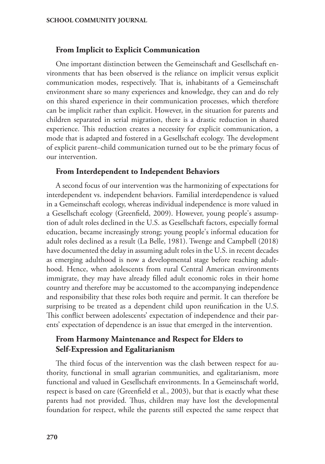# **From Implicit to Explicit Communication**

One important distinction between the Gemeinschaft and Gesellschaft environments that has been observed is the reliance on implicit versus explicit communication modes, respectively. That is, inhabitants of a Gemeinschaft environment share so many experiences and knowledge, they can and do rely on this shared experience in their communication processes, which therefore can be implicit rather than explicit. However, in the situation for parents and children separated in serial migration, there is a drastic reduction in shared experience. This reduction creates a necessity for explicit communication, a mode that is adapted and fostered in a Gesellschaft ecology. The development of explicit parent–child communication turned out to be the primary focus of our intervention.

# **From Interdependent to Independent Behaviors**

A second focus of our intervention was the harmonizing of expectations for interdependent vs. independent behaviors. Familial interdependence is valued in a Gemeinschaft ecology, whereas individual independence is more valued in a Gesellschaft ecology (Greenfield, 2009). However, young people's assumption of adult roles declined in the U.S. as Gesellschaft factors, especially formal education, became increasingly strong; young people's informal education for adult roles declined as a result (La Belle, 1981). Twenge and Campbell (2018) have documented the delay in assuming adult roles in the U.S. in recent decades as emerging adulthood is now a developmental stage before reaching adulthood. Hence, when adolescents from rural Central American environments immigrate, they may have already filled adult economic roles in their home country and therefore may be accustomed to the accompanying independence and responsibility that these roles both require and permit. It can therefore be surprising to be treated as a dependent child upon reunification in the U.S. This conflict between adolescents' expectation of independence and their parents' expectation of dependence is an issue that emerged in the intervention.

# **From Harmony Maintenance and Respect for Elders to Self-Expression and Egalitarianism**

The third focus of the intervention was the clash between respect for authority, functional in small agrarian communities, and egalitarianism, more functional and valued in Gesellschaft environments. In a Gemeinschaft world, respect is based on care (Greenfield et al., 2003), but that is exactly what these parents had not provided. Thus, children may have lost the developmental foundation for respect, while the parents still expected the same respect that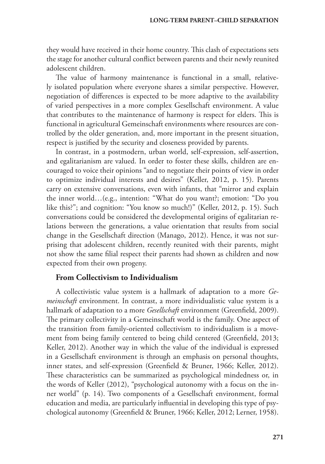they would have received in their home country. This clash of expectations sets the stage for another cultural conflict between parents and their newly reunited adolescent children.

The value of harmony maintenance is functional in a small, relatively isolated population where everyone shares a similar perspective. However, negotiation of differences is expected to be more adaptive to the availability of varied perspectives in a more complex Gesellschaft environment. A value that contributes to the maintenance of harmony is respect for elders. This is functional in agricultural Gemeinschaft environments where resources are controlled by the older generation, and, more important in the present situation, respect is justified by the security and closeness provided by parents.

In contrast, in a postmodern, urban world, self-expression, self-assertion, and egalitarianism are valued. In order to foster these skills, children are encouraged to voice their opinions "and to negotiate their points of view in order to optimize individual interests and desires" (Keller, 2012, p. 15). Parents carry on extensive conversations, even with infants, that "mirror and explain the inner world…(e.g., intention: "What do you want?; emotion: "Do you like this?"; and cognition: "You know so much!)" (Keller, 2012, p. 15). Such conversations could be considered the developmental origins of egalitarian relations between the generations, a value orientation that results from social change in the Gesellschaft direction (Manago, 2012). Hence, it was not surprising that adolescent children, recently reunited with their parents, might not show the same filial respect their parents had shown as children and now expected from their own progeny.

# **From Collectivism to Individualism**

A collectivistic value system is a hallmark of adaptation to a more *Gemeinschaft* environment. In contrast, a more individualistic value system is a hallmark of adaptation to a more *Gesellschaft* environment (Greenfield, 2009). The primary collectivity in a Gemeinschaft world is the family. One aspect of the transition from family-oriented collectivism to individualism is a movement from being family centered to being child centered (Greenfield, 2013; Keller, 2012). Another way in which the value of the individual is expressed in a Gesellschaft environment is through an emphasis on personal thoughts, inner states, and self-expression (Greenfield & Bruner, 1966; Keller, 2012). These characteristics can be summarized as psychological mindedness or, in the words of Keller (2012), "psychological autonomy with a focus on the inner world" (p. 14). Two components of a Gesellschaft environment, formal education and media, are particularly influential in developing this type of psychological autonomy (Greenfield & Bruner, 1966; Keller, 2012; Lerner, 1958).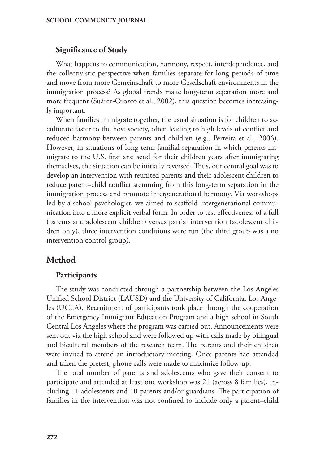# **Significance of Study**

What happens to communication, harmony, respect, interdependence, and the collectivistic perspective when families separate for long periods of time and move from more Gemeinschaft to more Gesellschaft environments in the immigration process? As global trends make long-term separation more and more frequent (Suárez-Orozco et al., 2002), this question becomes increasingly important.

When families immigrate together, the usual situation is for children to acculturate faster to the host society, often leading to high levels of conflict and reduced harmony between parents and children (e.g., Perreira et al., 2006). However, in situations of long-term familial separation in which parents immigrate to the U.S. first and send for their children years after immigrating themselves, the situation can be initially reversed. Thus, our central goal was to develop an intervention with reunited parents and their adolescent children to reduce parent–child conflict stemming from this long-term separation in the immigration process and promote intergenerational harmony. Via workshops led by a school psychologist, we aimed to scaffold intergenerational communication into a more explicit verbal form. In order to test effectiveness of a full (parents and adolescent children) versus partial intervention (adolescent children only), three intervention conditions were run (the third group was a no intervention control group).

# **Method**

# **Participants**

The study was conducted through a partnership between the Los Angeles Unified School District (LAUSD) and the University of California, Los Angeles (UCLA). Recruitment of participants took place through the cooperation of the Emergency Immigrant Education Program and a high school in South Central Los Angeles where the program was carried out. Announcements were sent out via the high school and were followed up with calls made by bilingual and bicultural members of the research team. The parents and their children were invited to attend an introductory meeting. Once parents had attended and taken the pretest, phone calls were made to maximize follow-up.

The total number of parents and adolescents who gave their consent to participate and attended at least one workshop was 21 (across 8 families), including 11 adolescents and 10 parents and/or guardians. The participation of families in the intervention was not confined to include only a parent–child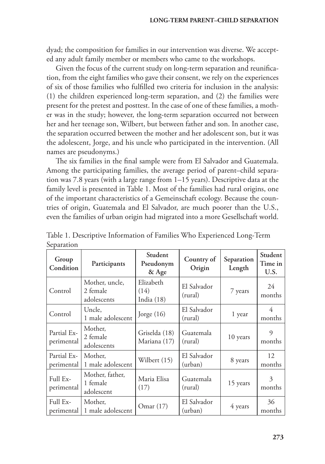dyad; the composition for families in our intervention was diverse. We accepted any adult family member or members who came to the workshops.

Given the focus of the current study on long-term separation and reunification, from the eight families who gave their consent, we rely on the experiences of six of those families who fulfilled two criteria for inclusion in the analysis: (1) the children experienced long-term separation, and (2) the families were present for the pretest and posttest. In the case of one of these families, a mother was in the study; however, the long-term separation occurred not between her and her teenage son, Wilbert, but between father and son. In another case, the separation occurred between the mother and her adolescent son, but it was the adolescent, Jorge, and his uncle who participated in the intervention. (All names are pseudonyms.)

The six families in the final sample were from El Salvador and Guatemala. Among the participating families, the average period of parent–child separation was 7.8 years (with a large range from 1–15 years). Descriptive data at the family level is presented in Table 1. Most of the families had rural origins, one of the important characteristics of a Gemeinschaft ecology. Because the countries of origin, Guatemala and El Salvador, are much poorer than the U.S., even the families of urban origin had migrated into a more Gesellschaft world.

| Group<br>Condition        | Participants                              | Student<br>Pseudonym<br>& Age     | Country of<br>Origin   | Separation<br>Length | Student<br>Time in<br>U.S. |
|---------------------------|-------------------------------------------|-----------------------------------|------------------------|----------------------|----------------------------|
| Control                   | Mother, uncle,<br>2 female<br>adolescents | Elizabeth<br>(14)<br>India $(18)$ | El Salvador<br>(rural) | 7 years              | 24<br>months               |
| Control                   | Uncle,<br>1 male adolescent               | Jorge $(16)$                      | El Salvador<br>(rural) | 1 year               | 4<br>months                |
| Partial Ex-<br>perimental | Mother,<br>2 female<br>adolescents        | Griselda (18)<br>Mariana (17)     | Guatemala<br>(rural)   | 10 years             | $\Omega$<br>months         |
| Partial Ex-<br>perimental | Mother,<br>1 male adolescent              | Wilbert (15)                      | El Salvador<br>(urban) | 8 years              | 12<br>months               |
| Full Ex-<br>perimental    | Mother, father,<br>1 female<br>adolescent | Maria Elisa<br>(17)               | Guatemala<br>(rural)   | 15 years             | 3<br>months                |
| Full Ex-<br>perimental    | Mother,<br>1 male adolescent              | Omar (17)                         | El Salvador<br>(urban) | 4 years              | 36<br>months               |

Table 1. Descriptive Information of Families Who Experienced Long-Term Separation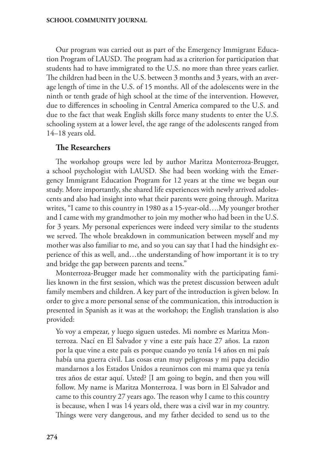Our program was carried out as part of the Emergency Immigrant Education Program of LAUSD. The program had as a criterion for participation that students had to have immigrated to the U.S. no more than three years earlier. The children had been in the U.S. between 3 months and 3 years, with an average length of time in the U.S. of 15 months. All of the adolescents were in the ninth or tenth grade of high school at the time of the intervention. However, due to differences in schooling in Central America compared to the U.S. and due to the fact that weak English skills force many students to enter the U.S. schooling system at a lower level, the age range of the adolescents ranged from 14–18 years old.

# **The Researchers**

The workshop groups were led by author Maritza Monterroza-Brugger, a school psychologist with LAUSD. She had been working with the Emergency Immigrant Education Program for 12 years at the time we began our study. More importantly, she shared life experiences with newly arrived adolescents and also had insight into what their parents were going through. Maritza writes, "I came to this country in 1980 as a 15-year-old….My younger brother and I came with my grandmother to join my mother who had been in the U.S. for 3 years. My personal experiences were indeed very similar to the students we served. The whole breakdown in communication between myself and my mother was also familiar to me, and so you can say that I had the hindsight experience of this as well, and…the understanding of how important it is to try and bridge the gap between parents and teens."

Monterroza-Brugger made her commonality with the participating families known in the first session, which was the pretest discussion between adult family members and children. A key part of the introduction is given below. In order to give a more personal sense of the communication, this introduction is presented in Spanish as it was at the workshop; the English translation is also provided:

Yo voy a empezar, y luego siguen ustedes. Mi nombre es Maritza Monterroza. Nací en El Salvador y vine a este país hace 27 años. La razon por la que vine a este país es porque cuando yo tenía 14 años en mi país había una guerra civil. Las cosas eran muy peligrosas y mi papa decidio mandarnos a los Estados Unidos a reunirnos con mi mama que ya tenía tres años de estar aquí. Usted? [I am going to begin, and then you will follow. My name is Maritza Monterroza. I was born in El Salvador and came to this country 27 years ago. The reason why I came to this country is because, when I was 14 years old, there was a civil war in my country. Things were very dangerous, and my father decided to send us to the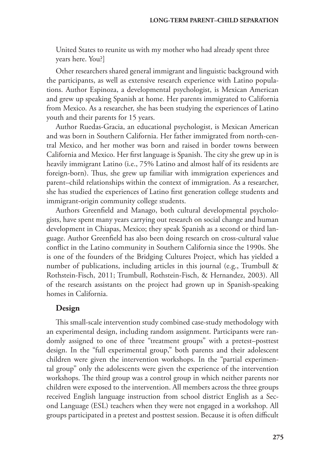United States to reunite us with my mother who had already spent three years here. You?]

Other researchers shared general immigrant and linguistic background with the participants, as well as extensive research experience with Latino populations. Author Espinoza, a developmental psychologist, is Mexican American and grew up speaking Spanish at home. Her parents immigrated to California from Mexico. As a researcher, she has been studying the experiences of Latino youth and their parents for 15 years.

Author Ruedas-Gracia, an educational psychologist, is Mexican American and was born in Southern California. Her father immigrated from north-central Mexico, and her mother was born and raised in border towns between California and Mexico. Her first language is Spanish. The city she grew up in is heavily immigrant Latino (i.e., 75% Latino and almost half of its residents are foreign-born). Thus, she grew up familiar with immigration experiences and parent–child relationships within the context of immigration. As a researcher, she has studied the experiences of Latino first generation college students and immigrant-origin community college students.

Authors Greenfield and Manago, both cultural developmental psychologists, have spent many years carrying out research on social change and human development in Chiapas, Mexico; they speak Spanish as a second or third language. Author Greenfield has also been doing research on cross-cultural value conflict in the Latino community in Southern California since the 1990s. She is one of the founders of the Bridging Cultures Project, which has yielded a number of publications, including articles in this journal (e.g., Trumbull & Rothstein-Fisch, 2011; Trumbull, Rothstein-Fisch, & Hernandez, 2003). All of the research assistants on the project had grown up in Spanish-speaking homes in California.

# **Design**

This small-scale intervention study combined case-study methodology with an experimental design, including random assignment. Participants were randomly assigned to one of three "treatment groups" with a pretest–posttest design. In the "full experimental group," both parents and their adolescent children were given the intervention workshops. In the "partial experimental group" only the adolescents were given the experience of the intervention workshops. The third group was a control group in which neither parents nor children were exposed to the intervention. All members across the three groups received English language instruction from school district English as a Second Language (ESL) teachers when they were not engaged in a workshop. All groups participated in a pretest and posttest session. Because it is often difficult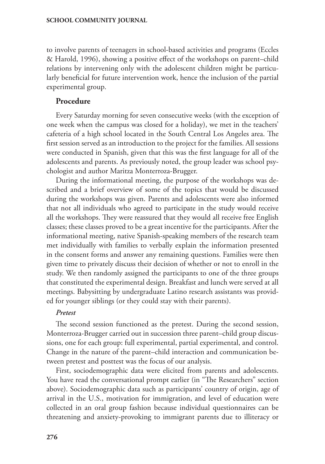to involve parents of teenagers in school-based activities and programs (Eccles & Harold, 1996), showing a positive effect of the workshops on parent–child relations by intervening only with the adolescent children might be particularly beneficial for future intervention work, hence the inclusion of the partial experimental group.

# **Procedure**

Every Saturday morning for seven consecutive weeks (with the exception of one week when the campus was closed for a holiday), we met in the teachers' cafeteria of a high school located in the South Central Los Angeles area. The first session served as an introduction to the project for the families. All sessions were conducted in Spanish, given that this was the first language for all of the adolescents and parents. As previously noted, the group leader was school psychologist and author Maritza Monterroza-Brugger.

During the informational meeting, the purpose of the workshops was described and a brief overview of some of the topics that would be discussed during the workshops was given. Parents and adolescents were also informed that not all individuals who agreed to participate in the study would receive all the workshops. They were reassured that they would all receive free English classes; these classes proved to be a great incentive for the participants. After the informational meeting, native Spanish-speaking members of the research team met individually with families to verbally explain the information presented in the consent forms and answer any remaining questions. Families were then given time to privately discuss their decision of whether or not to enroll in the study. We then randomly assigned the participants to one of the three groups that constituted the experimental design. Breakfast and lunch were served at all meetings. Babysitting by undergraduate Latino research assistants was provided for younger siblings (or they could stay with their parents).

# *Pretest*

The second session functioned as the pretest. During the second session, Monterroza-Brugger carried out in succession three parent–child group discussions, one for each group: full experimental, partial experimental, and control. Change in the nature of the parent–child interaction and communication between pretest and posttest was the focus of our analysis.

First, sociodemographic data were elicited from parents and adolescents. You have read the conversational prompt earlier (in "The Researchers" section above). Sociodemographic data such as participants' country of origin, age of arrival in the U.S., motivation for immigration, and level of education were collected in an oral group fashion because individual questionnaires can be threatening and anxiety-provoking to immigrant parents due to illiteracy or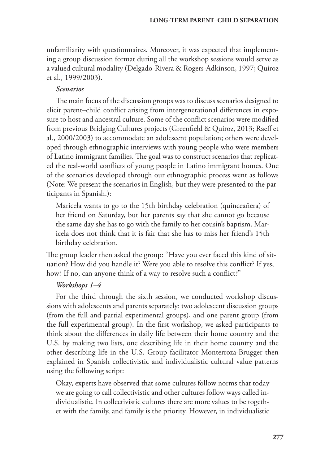unfamiliarity with questionnaires. Moreover, it was expected that implementing a group discussion format during all the workshop sessions would serve as a valued cultural modality (Delgado-Rivera & Rogers-Adkinson, 1997; Quiroz et al., 1999/2003).

### *Scenarios*

The main focus of the discussion groups was to discuss scenarios designed to elicit parent–child conflict arising from intergenerational differences in exposure to host and ancestral culture. Some of the conflict scenarios were modified from previous Bridging Cultures projects (Greenfield & Quiroz, 2013; Raeff et al., 2000/2003) to accommodate an adolescent population; others were developed through ethnographic interviews with young people who were members of Latino immigrant families. The goal was to construct scenarios that replicated the real-world conflicts of young people in Latino immigrant homes. One of the scenarios developed through our ethnographic process went as follows (Note: We present the scenarios in English, but they were presented to the participants in Spanish.):

Maricela wants to go to the 15th birthday celebration (quinceañera) of her friend on Saturday, but her parents say that she cannot go because the same day she has to go with the family to her cousin's baptism. Maricela does not think that it is fair that she has to miss her friend's 15th birthday celebration.

The group leader then asked the group: "Have you ever faced this kind of situation? How did you handle it? Were you able to resolve this conflict? If yes, how? If no, can anyone think of a way to resolve such a conflict?"

# *Workshops 1–4*

For the third through the sixth session, we conducted workshop discussions with adolescents and parents separately: two adolescent discussion groups (from the full and partial experimental groups), and one parent group (from the full experimental group). In the first workshop, we asked participants to think about the differences in daily life between their home country and the U.S. by making two lists, one describing life in their home country and the other describing life in the U.S. Group facilitator Monterroza-Brugger then explained in Spanish collectivistic and individualistic cultural value patterns using the following script:

Okay, experts have observed that some cultures follow norms that today we are going to call collectivistic and other cultures follow ways called individualistic. In collectivistic cultures there are more values to be together with the family, and family is the priority. However, in individualistic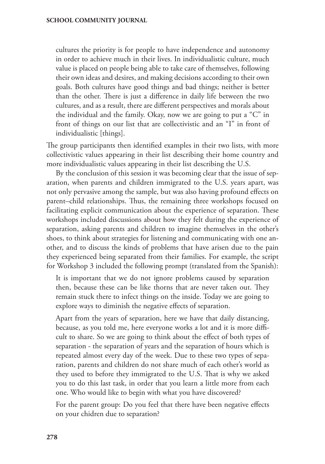cultures the priority is for people to have independence and autonomy in order to achieve much in their lives. In individualistic culture, much value is placed on people being able to take care of themselves, following their own ideas and desires, and making decisions according to their own goals. Both cultures have good things and bad things; neither is better than the other. There is just a difference in daily life between the two cultures, and as a result, there are different perspectives and morals about the individual and the family. Okay, now we are going to put a "C" in front of things on our list that are collectivistic and an "I" in front of individualistic [things].

The group participants then identified examples in their two lists, with more collectivistic values appearing in their list describing their home country and more individualistic values appearing in their list describing the U.S.

By the conclusion of this session it was becoming clear that the issue of separation, when parents and children immigrated to the U.S. years apart, was not only pervasive among the sample, but was also having profound effects on parent–child relationships. Thus, the remaining three workshops focused on facilitating explicit communication about the experience of separation. These workshops included discussions about how they felt during the experience of separation, asking parents and children to imagine themselves in the other's shoes, to think about strategies for listening and communicating with one another, and to discuss the kinds of problems that have arisen due to the pain they experienced being separated from their families. For example, the script for Workshop 3 included the following prompt (translated from the Spanish):

It is important that we do not ignore problems caused by separation then, because these can be like thorns that are never taken out. They remain stuck there to infect things on the inside. Today we are going to explore ways to diminish the negative effects of separation.

Apart from the years of separation, here we have that daily distancing, because, as you told me, here everyone works a lot and it is more difficult to share. So we are going to think about the effect of both types of separation - the separation of years and the separation of hours which is repeated almost every day of the week. Due to these two types of separation, parents and children do not share much of each other's world as they used to before they immigrated to the U.S. That is why we asked you to do this last task, in order that you learn a little more from each one. Who would like to begin with what you have discovered?

For the parent group: Do you feel that there have been negative effects on your chidren due to separation?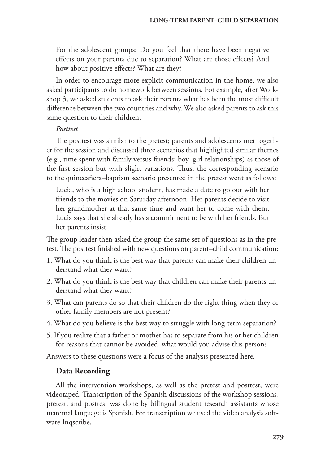For the adolescent groups: Do you feel that there have been negative effects on your parents due to separation? What are those effects? And how about positive effects? What are they?

In order to encourage more explicit communication in the home, we also asked participants to do homework between sessions. For example, after Workshop 3, we asked students to ask their parents what has been the most difficult difference between the two countries and why. We also asked parents to ask this same question to their children.

# *Posttest*

The posttest was similar to the pretest; parents and adolescents met together for the session and discussed three scenarios that highlighted similar themes (e.g., time spent with family versus friends; boy–girl relationships) as those of the first session but with slight variations. Thus, the corresponding scenario to the quinceañera–baptism scenario presented in the pretest went as follows:

Lucia, who is a high school student, has made a date to go out with her friends to the movies on Saturday afternoon. Her parents decide to visit her grandmother at that same time and want her to come with them. Lucia says that she already has a commitment to be with her friends. But her parents insist.

The group leader then asked the group the same set of questions as in the pretest. The posttest finished with new questions on parent–child communication:

- 1. What do you think is the best way that parents can make their children understand what they want?
- 2. What do you think is the best way that children can make their parents understand what they want?
- 3. What can parents do so that their children do the right thing when they or other family members are not present?
- 4. What do you believe is the best way to struggle with long-term separation?
- 5. If you realize that a father or mother has to separate from his or her children for reasons that cannot be avoided, what would you advise this person?

Answers to these questions were a focus of the analysis presented here.

# **Data Recording**

All the intervention workshops, as well as the pretest and posttest, were videotaped. Transcription of the Spanish discussions of the workshop sessions, pretest, and posttest was done by bilingual student research assistants whose maternal language is Spanish. For transcription we used the video analysis software Inqscribe.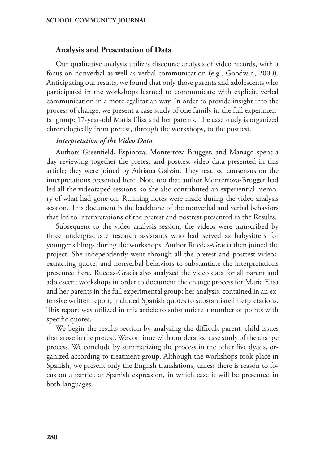# **Analysis and Presentation of Data**

Our qualitative analysis utilizes discourse analysis of video records, with a focus on nonverbal as well as verbal communication (e.g., Goodwin, 2000). Anticipating our results, we found that only those parents and adolescents who participated in the workshops learned to communicate with explicit, verbal communication in a more egalitarian way. In order to provide insight into the process of change, we present a case study of one family in the full experimental group: 17-year-old Maria Elisa and her parents. The case study is organized chronologically from pretest, through the workshops, to the posttest.

### *Interpretation of the Video Data*

Authors Greenfield, Espinoza, Monterroza-Brugger, and Manago spent a day reviewing together the pretest and posttest video data presented in this article; they were joined by Adriana Galván. They reached consensus on the interpretations presented here. Note too that author Monterroza-Brugger had led all the videotaped sessions, so she also contributed an experiential memory of what had gone on. Running notes were made during the video analysis session. This document is the backbone of the nonverbal and verbal behaviors that led to interpretations of the pretest and posttest presented in the Results.

Subsequent to the video analysis session, the videos were transcribed by three undergraduate research assistants who had served as babysitters for younger siblings during the workshops. Author Ruedas-Gracia then joined the project. She independently went through all the pretest and posttest videos, extracting quotes and nonverbal behaviors to substantiate the interpretations presented here. Ruedas-Gracia also analyzed the video data for all parent and adolescent workshops in order to document the change process for Maria Elisa and her parents in the full experimental group; her analysis, contained in an extensive written report, included Spanish quotes to substantiate interpretations. This report was utilized in this article to substantiate a number of points with specific quotes.

We begin the results section by analyzing the difficult parent–child issues that arose in the pretest. We continue with our detailed case study of the change process. We conclude by summarizing the process in the other five dyads, organized according to treatment group. Although the workshops took place in Spanish, we present only the English translations, unless there is reason to focus on a particular Spanish expression, in which case it will be presented in both languages.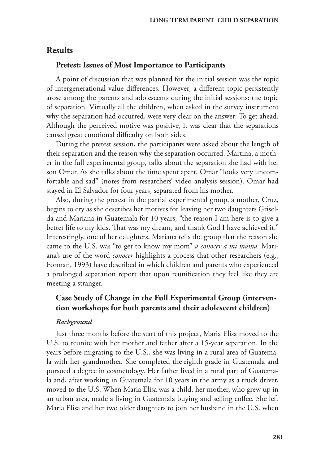# **Results**

# **Pretest: Issues of Most Importance to Participants**

A point of discussion that was planned for the initial session was the topic of intergenerational value differences. However, a different topic persistently arose among the parents and adolescents during the initial sessions: the topic of separation. Virtually all the children, when asked in the survey instrument why the separation had occurred, were very clear on the answer: To get ahead. Although the perceived motive was positive, it was clear that the separations caused great emotional difficulty on both sides.

During the pretest session, the participants were asked about the length of their separation and the reason why the separation occurred. Martina, a mother in the full experimental group, talks about the separation she had with her son Omar. As she talks about the time spent apart, Omar "looks very uncomfortable and sad" (notes from researchers' video analysis session). Omar had stayed in El Salvador for four years, separated from his mother.

Also, during the pretest in the partial experimental group, a mother, Cruz, begins to cry as she describes her motives for leaving her two daughters Griselda and Mariana in Guatemala for 10 years; "the reason I am here is to give a better life to my kids. That was my dream, and thank God I have achieved it." Interestingly, one of her daughters, Mariana tells the group that the reason she came to the U.S. was "to get to know my mom" *a conocer a mi mama.* Mariana's use of the word *conocer* highlights a process that other researchers (e.g., Forman, 1993) have described in which children and parents who experienced a prolonged separation report that upon reunification they feel like they are meeting a stranger.

# **Case Study of Change in the Full Experimental Group (intervention workshops for both parents and their adolescent children)**

### *Background*

Just three months before the start of this project, Maria Elisa moved to the U.S. to reunite with her mother and father after a 15-year separation. In the years before migrating to the U.S., she was living in a rural area of Guatemala with her grandmother. She completed the eighth grade in Guatemala and pursued a degree in cosmetology. Her father lived in a rural part of Guatemala and, after working in Guatemala for 10 years in the army as a truck driver, moved to the U.S. When Maria Elisa was a child, her mother, who grew up in an urban area, made a living in Guatemala buying and selling coffee. She left Maria Elisa and her two older daughters to join her husband in the U.S. when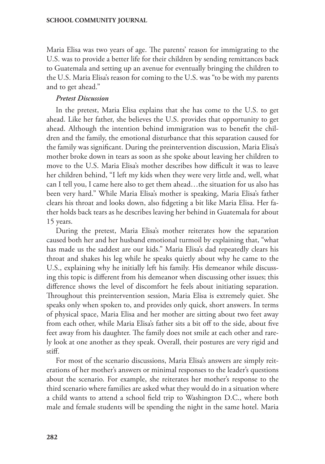Maria Elisa was two years of age. The parents' reason for immigrating to the U.S. was to provide a better life for their children by sending remittances back to Guatemala and setting up an avenue for eventually bringing the children to the U.S. Maria Elisa's reason for coming to the U.S. was "to be with my parents and to get ahead."

### *Pretest Discussion*

In the pretest, Maria Elisa explains that she has come to the U.S. to get ahead. Like her father, she believes the U.S. provides that opportunity to get ahead. Although the intention behind immigration was to benefit the children and the family, the emotional disturbance that this separation caused for the family was significant. During the preintervention discussion, Maria Elisa's mother broke down in tears as soon as she spoke about leaving her children to move to the U.S. Maria Elisa's mother describes how difficult it was to leave her children behind, "I left my kids when they were very little and, well, what can I tell you, I came here also to get them ahead…the situation for us also has been very hard." While Maria Elisa's mother is speaking, Maria Elisa's father clears his throat and looks down, also fidgeting a bit like Maria Elisa. Her father holds back tears as he describes leaving her behind in Guatemala for about 15 years.

During the pretest, Maria Elisa's mother reiterates how the separation caused both her and her husband emotional turmoil by explaining that, "what has made us the saddest are our kids." Maria Elisa's dad repeatedly clears his throat and shakes his leg while he speaks quietly about why he came to the U.S., explaining why he initially left his family. His demeanor while discussing this topic is different from his demeanor when discussing other issues; this difference shows the level of discomfort he feels about initiating separation. Throughout this preintervention session, Maria Elisa is extremely quiet. She speaks only when spoken to, and provides only quick, short answers. In terms of physical space, Maria Elisa and her mother are sitting about two feet away from each other, while Maria Elisa's father sits a bit off to the side, about five feet away from his daughter. The family does not smile at each other and rarely look at one another as they speak. Overall, their postures are very rigid and stiff.

For most of the scenario discussions, Maria Elisa's answers are simply reiterations of her mother's answers or minimal responses to the leader's questions about the scenario. For example, she reiterates her mother's response to the third scenario where families are asked what they would do in a situation where a child wants to attend a school field trip to Washington D.C., where both male and female students will be spending the night in the same hotel. Maria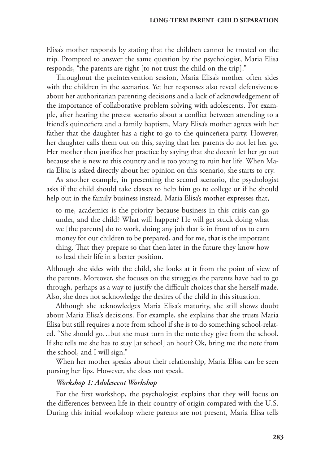Elisa's mother responds by stating that the children cannot be trusted on the trip. Prompted to answer the same question by the psychologist, Maria Elisa responds, "the parents are right [to not trust the child on the trip]."

Throughout the preintervention session, Maria Elisa's mother often sides with the children in the scenarios. Yet her responses also reveal defensiveness about her authoritarian parenting decisions and a lack of acknowledgement of the importance of collaborative problem solving with adolescents. For example, after hearing the pretest scenario about a conflict between attending to a friend's quinceñera and a family baptism, Mary Elisa's mother agrees with her father that the daughter has a right to go to the quinceñera party. However, her daughter calls them out on this, saying that her parents do not let her go. Her mother then justifies her practice by saying that she doesn't let her go out because she is new to this country and is too young to ruin her life. When Maria Elisa is asked directly about her opinion on this scenario, she starts to cry.

As another example, in presenting the second scenario, the psychologist asks if the child should take classes to help him go to college or if he should help out in the family business instead. Maria Elisa's mother expresses that,

to me, academics is the priority because business in this crisis can go under, and the child? What will happen? He will get stuck doing what we [the parents] do to work, doing any job that is in front of us to earn money for our children to be prepared, and for me, that is the important thing. That they prepare so that then later in the future they know how to lead their life in a better position.

Although she sides with the child, she looks at it from the point of view of the parents. Moreover, she focuses on the struggles the parents have had to go through, perhaps as a way to justify the difficult choices that she herself made. Also, she does not acknowledge the desires of the child in this situation.

Although she acknowledges Maria Elisa's maturity, she still shows doubt about Maria Elisa's decisions. For example, she explains that she trusts Maria Elisa but still requires a note from school if she is to do something school-related. "She should go…but she must turn in the note they give from the school. If she tells me she has to stay [at school] an hour? Ok, bring me the note from the school, and I will sign."

When her mother speaks about their relationship, Maria Elisa can be seen pursing her lips. However, she does not speak.

# *Workshop 1: Adolescent Workshop*

For the first workshop, the psychologist explains that they will focus on the differences between life in their country of origin compared with the U.S. During this initial workshop where parents are not present, Maria Elisa tells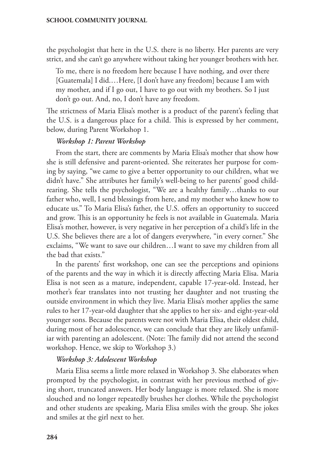the psychologist that here in the U.S. there is no liberty. Her parents are very strict, and she can't go anywhere without taking her younger brothers with her.

To me, there is no freedom here because I have nothing, and over there [Guatemala] I did.…Here, [I don't have any freedom] because I am with my mother, and if I go out, I have to go out with my brothers. So I just don't go out. And, no, I don't have any freedom.

The strictness of Maria Elisa's mother is a product of the parent's feeling that the U.S. is a dangerous place for a child. This is expressed by her comment, below, during Parent Workshop 1.

# *Workshop 1: Parent Workshop*

From the start, there are comments by Maria Elisa's mother that show how she is still defensive and parent-oriented. She reiterates her purpose for coming by saying, "we came to give a better opportunity to our children, what we didn't have." She attributes her family's well-being to her parents' good childrearing. She tells the psychologist, "We are a healthy family…thanks to our father who, well, I send blessings from here, and my mother who knew how to educate us." To Maria Elisa's father, the U.S. offers an opportunity to succeed and grow. This is an opportunity he feels is not available in Guatemala. Maria Elisa's mother, however, is very negative in her perception of a child's life in the U.S. She believes there are a lot of dangers everywhere, "in every corner." She exclaims, "We want to save our children…I want to save my children from all the bad that exists."

In the parents' first workshop, one can see the perceptions and opinions of the parents and the way in which it is directly affecting Maria Elisa. Maria Elisa is not seen as a mature, independent, capable 17-year-old. Instead, her mother's fear translates into not trusting her daughter and not trusting the outside environment in which they live. Maria Elisa's mother applies the same rules to her 17-year-old daughter that she applies to her six- and eight-year-old younger sons. Because the parents were not with Maria Elisa, their oldest child, during most of her adolescence, we can conclude that they are likely unfamiliar with parenting an adolescent. (Note: The family did not attend the second workshop. Hence, we skip to Workshop 3.)

# *Workshop 3: Adolescent Workshop*

Maria Elisa seems a little more relaxed in Workshop 3. She elaborates when prompted by the psychologist, in contrast with her previous method of giving short, truncated answers. Her body language is more relaxed. She is more slouched and no longer repeatedly brushes her clothes. While the psychologist and other students are speaking, Maria Elisa smiles with the group. She jokes and smiles at the girl next to her.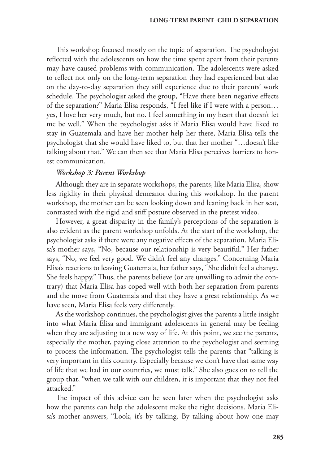This workshop focused mostly on the topic of separation. The psychologist reflected with the adolescents on how the time spent apart from their parents may have caused problems with communication. The adolescents were asked to reflect not only on the long-term separation they had experienced but also on the day-to-day separation they still experience due to their parents' work schedule. The psychologist asked the group, "Have there been negative effects of the separation?" Maria Elisa responds, "I feel like if I were with a person… yes, I love her very much, but no. I feel something in my heart that doesn't let me be well." When the psychologist asks if Maria Elisa would have liked to stay in Guatemala and have her mother help her there, Maria Elisa tells the psychologist that she would have liked to, but that her mother "…doesn't like talking about that." We can then see that Maria Elisa perceives barriers to honest communication.

# *Workshop 3: Parent Workshop*

Although they are in separate workshops, the parents, like Maria Elisa, show less rigidity in their physical demeanor during this workshop. In the parent workshop, the mother can be seen looking down and leaning back in her seat, contrasted with the rigid and stiff posture observed in the pretest video.

However, a great disparity in the family's perceptions of the separation is also evident as the parent workshop unfolds. At the start of the workshop, the psychologist asks if there were any negative effects of the separation. Maria Elisa's mother says, "No, because our relationship is very beautiful." Her father says, "No, we feel very good. We didn't feel any changes." Concerning Maria Elisa's reactions to leaving Guatemala, her father says, "She didn't feel a change. She feels happy." Thus, the parents believe (or are unwilling to admit the contrary) that Maria Elisa has coped well with both her separation from parents and the move from Guatemala and that they have a great relationship. As we have seen, Maria Elisa feels very differently.

As the workshop continues, the psychologist gives the parents a little insight into what Maria Elisa and immigrant adolescents in general may be feeling when they are adjusting to a new way of life. At this point, we see the parents, especially the mother, paying close attention to the psychologist and seeming to process the information. The psychologist tells the parents that "talking is very important in this country. Especially because we don't have that same way of life that we had in our countries, we must talk." She also goes on to tell the group that, "when we talk with our children, it is important that they not feel attacked."

The impact of this advice can be seen later when the psychologist asks how the parents can help the adolescent make the right decisions. Maria Elisa's mother answers, "Look, it's by talking. By talking about how one may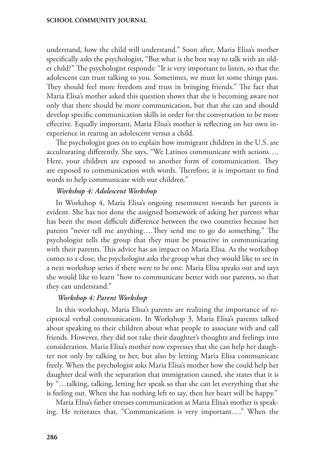understand, how the child will understand." Soon after, Maria Elisa's mother specifically asks the psychologist, "But what is the best way to talk with an older child?" The psychologist responds: "It is very important to listen, so that the adolescent can trust talking to you. Sometimes, we must let some things pass. They should feel more freedom and trust in bringing friends." The fact that Maria Elisa's mother asked this question shows that she is becoming aware not only that there should be more communication, but that she can and should develop specific communication skills in order for the conversation to be more effective. Equally important, Maria Elisa's mother is reflecting on her own inexperience in rearing an adolescent versus a child.

The psychologist goes on to explain how immigrant children in the U.S. are acculturating differently. She says, "We Latinos communicate with actions…. Here, your children are exposed to another form of communication. They are exposed to communication with words. Therefore, it is important to find words to help communicate with our children."

# *Workshop 4: Adolescent Workshop*

In Workshop 4, Maria Elisa's ongoing resentment towards her parents is evident. She has not done the assigned homework of asking her parents what has been the most difficult difference between the two countries because her parents "never tell me anything….They send me to go do something." The psychologist tells the group that they must be proactive in communicating with their parents. This advice has an impact on Maria Elisa. As the workshop comes to a close, the psychologist asks the group what they would like to see in a next workshop series if there were to be one. Maria Elisa speaks out and says she would like to learn "how to communicate better with our parents, so that they can understand."

# *Workshop 4: Parent Workshop*

In this workshop, Maria Elisa's parents are realizing the importance of reciprocal verbal communication. In Workshop 3, Maria Elisa's parents talked about speaking to their children about what people to associate with and call friends. However, they did not take their daughter's thoughts and feelings into consideration. Maria Elisa's mother now expresses that she can help her daughter not only by talking to her, but also by letting Maria Elisa communicate freely. When the psychologist asks Maria Elisa's mother how she could help her daughter deal with the separation that immigration caused, she states that it is by "…talking, talking, letting her speak so that she can let everything that she is feeling out. When she has nothing left to say, then her heart will be happy."

Maria Elisa's father stresses communication as Maria Elisa's mother is speaking. He reiterates that, "Communication is very important…." When the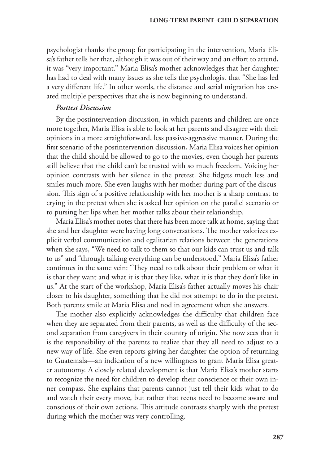psychologist thanks the group for participating in the intervention, Maria Elisa's father tells her that, although it was out of their way and an effort to attend, it was "very important." Maria Elisa's mother acknowledges that her daughter has had to deal with many issues as she tells the psychologist that "She has led a very different life." In other words, the distance and serial migration has created multiple perspectives that she is now beginning to understand.

# *Posttest Discussion*

By the postintervention discussion, in which parents and children are once more together, Maria Elisa is able to look at her parents and disagree with their opinions in a more straightforward, less passive-aggressive manner. During the first scenario of the postintervention discussion, Maria Elisa voices her opinion that the child should be allowed to go to the movies, even though her parents still believe that the child can't be trusted with so much freedom. Voicing her opinion contrasts with her silence in the pretest. She fidgets much less and smiles much more. She even laughs with her mother during part of the discussion. This sign of a positive relationship with her mother is a sharp contrast to crying in the pretest when she is asked her opinion on the parallel scenario or to pursing her lips when her mother talks about their relationship.

Maria Elisa's mother notes that there has been more talk at home, saying that she and her daughter were having long conversations. The mother valorizes explicit verbal communication and egalitarian relations between the generations when she says, "We need to talk to them so that our kids can trust us and talk to us" and "through talking everything can be understood." Maria Elisa's father continues in the same vein: "They need to talk about their problem or what it is that they want and what it is that they like, what it is that they don't like in us." At the start of the workshop, Maria Elisa's father actually moves his chair closer to his daughter, something that he did not attempt to do in the pretest. Both parents smile at Maria Elisa and nod in agreement when she answers.

The mother also explicitly acknowledges the difficulty that children face when they are separated from their parents, as well as the difficulty of the second separation from caregivers in their country of origin. She now sees that it is the responsibility of the parents to realize that they all need to adjust to a new way of life. She even reports giving her daughter the option of returning to Guatemala—an indication of a new willingness to grant Maria Elisa greater autonomy. A closely related development is that Maria Elisa's mother starts to recognize the need for children to develop their conscience or their own inner compass. She explains that parents cannot just tell their kids what to do and watch their every move, but rather that teens need to become aware and conscious of their own actions. This attitude contrasts sharply with the pretest during which the mother was very controlling.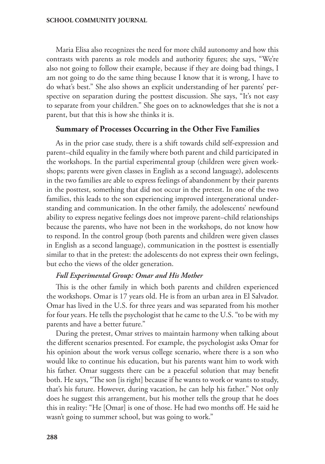Maria Elisa also recognizes the need for more child autonomy and how this contrasts with parents as role models and authority figures; she says, "We're also not going to follow their example, because if they are doing bad things, I am not going to do the same thing because I know that it is wrong, I have to do what's best." She also shows an explicit understanding of her parents' perspective on separation during the posttest discussion. She says, "It's not easy to separate from your children." She goes on to acknowledges that she is not a parent, but that this is how she thinks it is.

# **Summary of Processes Occurring in the Other Five Families**

As in the prior case study, there is a shift towards child self-expression and parent–child equality in the family where both parent and child participated in the workshops. In the partial experimental group (children were given workshops; parents were given classes in English as a second language), adolescents in the two families are able to express feelings of abandonment by their parents in the posttest, something that did not occur in the pretest. In one of the two families, this leads to the son experiencing improved intergenerational understanding and communication. In the other family, the adolescents' newfound ability to express negative feelings does not improve parent–child relationships because the parents, who have not been in the workshops, do not know how to respond. In the control group (both parents and children were given classes in English as a second language), communication in the posttest is essentially similar to that in the pretest: the adolescents do not express their own feelings, but echo the views of the older generation.

### *Full Experimental Group: Omar and His Mother*

This is the other family in which both parents and children experienced the workshops. Omar is 17 years old. He is from an urban area in El Salvador. Omar has lived in the U.S. for three years and was separated from his mother for four years. He tells the psychologist that he came to the U.S. "to be with my parents and have a better future."

During the pretest, Omar strives to maintain harmony when talking about the different scenarios presented. For example, the psychologist asks Omar for his opinion about the work versus college scenario, where there is a son who would like to continue his education, but his parents want him to work with his father. Omar suggests there can be a peaceful solution that may benefit both. He says, "The son [is right] because if he wants to work or wants to study, that's his future. However, during vacation, he can help his father." Not only does he suggest this arrangement, but his mother tells the group that he does this in reality: "He [Omar] is one of those. He had two months off. He said he wasn't going to summer school, but was going to work."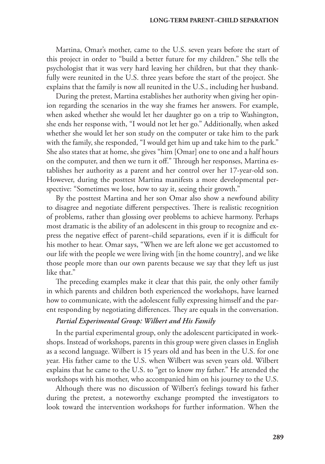#### **LONG-TERM PARENT–CHILD SEPARATION**

Martina, Omar's mother, came to the U.S. seven years before the start of this project in order to "build a better future for my children." She tells the psychologist that it was very hard leaving her children, but that they thankfully were reunited in the U.S. three years before the start of the project. She explains that the family is now all reunited in the U.S., including her husband.

During the pretest, Martina establishes her authority when giving her opinion regarding the scenarios in the way she frames her answers. For example, when asked whether she would let her daughter go on a trip to Washington, she ends her response with, "I would not let her go." Additionally, when asked whether she would let her son study on the computer or take him to the park with the family, she responded, "I would get him up and take him to the park." She also states that at home, she gives "him [Omar] one to one and a half hours on the computer, and then we turn it off." Through her responses, Martina establishes her authority as a parent and her control over her 17-year-old son. However, during the posttest Martina manifests a more developmental perspective: "Sometimes we lose, how to say it, seeing their growth."

By the posttest Martina and her son Omar also show a newfound ability to disagree and negotiate different perspectives. There is realistic recognition of problems, rather than glossing over problems to achieve harmony. Perhaps most dramatic is the ability of an adolescent in this group to recognize and express the negative effect of parent–child separations, even if it is difficult for his mother to hear. Omar says, "When we are left alone we get accustomed to our life with the people we were living with [in the home country], and we like those people more than our own parents because we say that they left us just like that."

The preceding examples make it clear that this pair, the only other family in which parents and children both experienced the workshops, have learned how to communicate, with the adolescent fully expressing himself and the parent responding by negotiating differences. They are equals in the conversation.

### *Partial Experimental Group: Wilbert and His Family*

In the partial experimental group, only the adolescent participated in workshops. Instead of workshops, parents in this group were given classes in English as a second language. Wilbert is 15 years old and has been in the U.S. for one year. His father came to the U.S. when Wilbert was seven years old. Wilbert explains that he came to the U.S. to "get to know my father." He attended the workshops with his mother, who accompanied him on his journey to the U.S.

Although there was no discussion of Wilbert's feelings toward his father during the pretest, a noteworthy exchange prompted the investigators to look toward the intervention workshops for further information. When the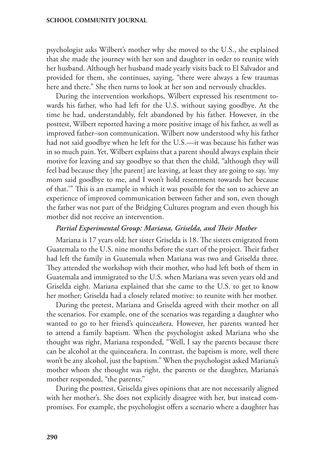psychologist asks Wilbert's mother why she moved to the U.S., she explained that she made the journey with her son and daughter in order to reunite with her husband. Although her husband made yearly visits back to El Salvador and provided for them, she continues, saying, "there were always a few traumas here and there." She then turns to look at her son and nervously chuckles.

During the intervention workshops, Wilbert expressed his resentment towards his father, who had left for the U.S. without saying goodbye. At the time he had, understandably, felt abandoned by his father. However, in the posttest, Wilbert reported having a more positive image of his father, as well as improved father–son communication. Wilbert now understood why his father had not said goodbye when he left for the U.S.—it was because his father was in so much pain. Yet, Wilbert explains that a parent should always explain their motive for leaving and say goodbye so that then the child, "although they will feel bad because they [the parent] are leaving, at least they are going to say, 'my mom said goodbye to me, and I won't hold resentment towards her because of that.'" This is an example in which it was possible for the son to achieve an experience of improved communication between father and son, even though the father was not part of the Bridging Cultures program and even though his mother did not receive an intervention.

# *Partial Experimental Group: Mariana, Griselda, and Their Mother*

Mariana is 17 years old; her sister Griselda is 18. The sisters emigrated from Guatemala to the U.S. nine months before the start of the project. Their father had left the family in Guatemala when Mariana was two and Griselda three. They attended the workshop with their mother, who had left both of them in Guatemala and immigrated to the U.S. when Mariana was seven years old and Griselda eight. Mariana explained that she came to the U.S. to get to know her mother; Griselda had a closely related motive: to reunite with her mother.

During the pretest, Mariana and Griselda agreed with their mother on all the scenarios. For example, one of the scenarios was regarding a daughter who wanted to go to her friend's quinceañera. However, her parents wanted her to attend a family baptism. When the psychologist asked Mariana who she thought was right, Mariana responded, "Well, I say the parents because there can be alcohol at the quinceañera. In contrast, the baptism is more, well there won't be any alcohol, just the baptism." When the psychologist asked Mariana's mother whom she thought was right, the parents or the daughter, Mariana's mother responded, "the parents."

During the posttest, Griselda gives opinions that are not necessarily aligned with her mother's. She does not explicitly disagree with her, but instead compromises. For example, the psychologist offers a scenario where a daughter has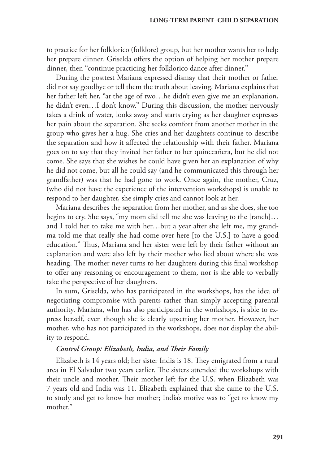to practice for her folklorico (folklore) group, but her mother wants her to help her prepare dinner. Griselda offers the option of helping her mother prepare dinner, then "continue practicing her folklorico dance after dinner."

During the posttest Mariana expressed dismay that their mother or father did not say goodbye or tell them the truth about leaving. Mariana explains that her father left her, "at the age of two…he didn't even give me an explanation, he didn't even…I don't know." During this discussion, the mother nervously takes a drink of water, looks away and starts crying as her daughter expresses her pain about the separation. She seeks comfort from another mother in the group who gives her a hug. She cries and her daughters continue to describe the separation and how it affected the relationship with their father. Mariana goes on to say that they invited her father to her quinceañera, but he did not come. She says that she wishes he could have given her an explanation of why he did not come, but all he could say (and he communicated this through her grandfather) was that he had gone to work. Once again, the mother, Cruz, (who did not have the experience of the intervention workshops) is unable to respond to her daughter, she simply cries and cannot look at her.

Mariana describes the separation from her mother, and as she does, she too begins to cry. She says, "my mom did tell me she was leaving to the [ranch]… and I told her to take me with her…but a year after she left me, my grandma told me that really she had come over here [to the U.S.] to have a good education." Thus, Mariana and her sister were left by their father without an explanation and were also left by their mother who lied about where she was heading. The mother never turns to her daughters during this final workshop to offer any reasoning or encouragement to them, nor is she able to verbally take the perspective of her daughters.

In sum, Griselda, who has participated in the workshops, has the idea of negotiating compromise with parents rather than simply accepting parental authority. Mariana, who has also participated in the workshops, is able to express herself, even though she is clearly upsetting her mother. However, her mother, who has not participated in the workshops, does not display the ability to respond.

# *Control Group: Elizabeth, India, and Their Family*

Elizabeth is 14 years old; her sister India is 18. They emigrated from a rural area in El Salvador two years earlier. The sisters attended the workshops with their uncle and mother. Their mother left for the U.S. when Elizabeth was 7 years old and India was 11. Elizabeth explained that she came to the U.S. to study and get to know her mother; India's motive was to "get to know my mother."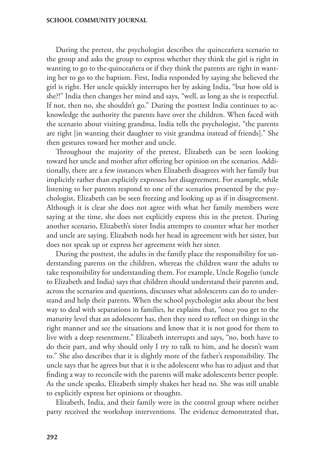During the pretest, the psychologist describes the quinceañera scenario to the group and asks the group to express whether they think the girl is right in wanting to go to the quinceañera or if they think the parents are right in wanting her to go to the baptism. First, India responded by saying she believed the girl is right. Her uncle quickly interrupts her by asking India, "but how old is she?!" India then changes her mind and says, "well, as long as she is respectful. If not, then no, she shouldn't go." During the posttest India continues to acknowledge the authority the parents have over the children. When faced with the scenario about visiting grandma, India tells the psychologist, "the parents are right [in wanting their daughter to visit grandma instead of friends]." She then gestures toward her mother and uncle.

Throughout the majority of the pretest, Elizabeth can be seen looking toward her uncle and mother after offering her opinion on the scenarios. Additionally, there are a few instances when Elizabeth disagrees with her family but implicitly rather than explicitly expresses her disagreement. For example, while listening to her parents respond to one of the scenarios presented by the psychologist, Elizabeth can be seen freezing and looking up as if in disagreement. Although it is clear she does not agree with what her family members were saying at the time, she does not explicitly express this in the pretest. During another scenario, Elizabeth's sister India attempts to counter what her mother and uncle are saying. Elizabeth nods her head in agreement with her sister, but does not speak up or express her agreement with her sister.

During the posttest, the adults in the family place the responsibility for understanding parents on the children, whereas the children want the adults to take responsibility for understanding them. For example, Uncle Rogelio (uncle to Elizabeth and India) says that children should understand their parents and, across the scenarios and questions, discusses what adolescents can do to understand and help their parents. When the school psychologist asks about the best way to deal with separations in families, he explains that, "once you get to the maturity level that an adolescent has, then they need to reflect on things in the right manner and see the situations and know that it is not good for them to live with a deep resentment." Elizabeth interrupts and says, "no, both have to do their part, and why should only I try to talk to him, and he doesn't want to." She also describes that it is slightly more of the father's responsibility. The uncle says that he agrees but that it is the adolescent who has to adjust and that finding a way to reconcile with the parents will make adolescents better people. As the uncle speaks, Elizabeth simply shakes her head no. She was still unable to explicitly express her opinions or thoughts.

Elizabeth, India, and their family were in the control group where neither party received the workshop interventions. The evidence demonstrated that,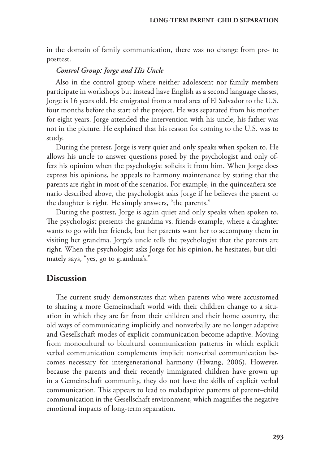in the domain of family communication, there was no change from pre- to posttest.

### *Control Group: Jorge and His Uncle*

Also in the control group where neither adolescent nor family members participate in workshops but instead have English as a second language classes, Jorge is 16 years old. He emigrated from a rural area of El Salvador to the U.S. four months before the start of the project. He was separated from his mother for eight years. Jorge attended the intervention with his uncle; his father was not in the picture. He explained that his reason for coming to the U.S. was to study.

During the pretest, Jorge is very quiet and only speaks when spoken to. He allows his uncle to answer questions posed by the psychologist and only offers his opinion when the psychologist solicits it from him. When Jorge does express his opinions, he appeals to harmony maintenance by stating that the parents are right in most of the scenarios. For example, in the quinceañera scenario described above, the psychologist asks Jorge if he believes the parent or the daughter is right. He simply answers, "the parents."

During the posttest, Jorge is again quiet and only speaks when spoken to. The psychologist presents the grandma vs. friends example, where a daughter wants to go with her friends, but her parents want her to accompany them in visiting her grandma. Jorge's uncle tells the psychologist that the parents are right. When the psychologist asks Jorge for his opinion, he hesitates, but ultimately says, "yes, go to grandma's."

# **Discussion**

The current study demonstrates that when parents who were accustomed to sharing a more Gemeinschaft world with their children change to a situation in which they are far from their children and their home country, the old ways of communicating implicitly and nonverbally are no longer adaptive and Gesellschaft modes of explicit communication become adaptive. Moving from monocultural to bicultural communication patterns in which explicit verbal communication complements implicit nonverbal communication becomes necessary for intergenerational harmony (Hwang, 2006). However, because the parents and their recently immigrated children have grown up in a Gemeinschaft community, they do not have the skills of explicit verbal communication. This appears to lead to maladaptive patterns of parent–child communication in the Gesellschaft environment, which magnifies the negative emotional impacts of long-term separation.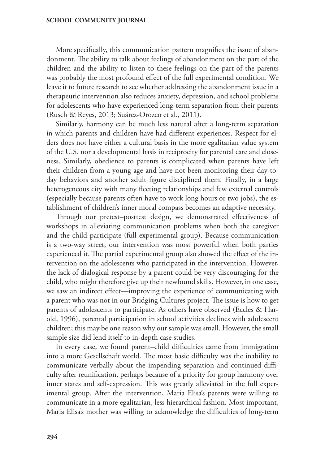More specifically, this communication pattern magnifies the issue of abandonment. The ability to talk about feelings of abandonment on the part of the children and the ability to listen to these feelings on the part of the parents was probably the most profound effect of the full experimental condition. We leave it to future research to see whether addressing the abandonment issue in a therapeutic intervention also reduces anxiety, depression, and school problems for adolescents who have experienced long-term separation from their parents (Rusch & Reyes, 2013; Suárez-Orozco et al., 2011).

Similarly, harmony can be much less natural after a long-term separation in which parents and children have had different experiences. Respect for elders does not have either a cultural basis in the more egalitarian value system of the U.S. nor a developmental basis in reciprocity for parental care and closeness. Similarly, obedience to parents is complicated when parents have left their children from a young age and have not been monitoring their day-today behaviors and another adult figure disciplined them. Finally, in a large heterogeneous city with many fleeting relationships and few external controls (especially because parents often have to work long hours or two jobs), the establishment of children's inner moral compass becomes an adaptive necessity.

Through our pretest–posttest design, we demonstrated effectiveness of workshops in alleviating communication problems when both the caregiver and the child participate (full experimental group). Because communication is a two-way street, our intervention was most powerful when both parties experienced it. The partial experimental group also showed the effect of the intervention on the adolescents who participated in the intervention. However, the lack of dialogical response by a parent could be very discouraging for the child, who might therefore give up their newfound skills. However, in one case, we saw an indirect effect—improving the experience of communicating with a parent who was not in our Bridging Cultures project. The issue is how to get parents of adolescents to participate. As others have observed (Eccles & Harold, 1996), parental participation in school activities declines with adolescent children; this may be one reason why our sample was small. However, the small sample size did lend itself to in-depth case studies.

In every case, we found parent–child difficulties came from immigration into a more Gesellschaft world. The most basic difficulty was the inability to communicate verbally about the impending separation and continued difficulty after reunification, perhaps because of a priority for group harmony over inner states and self-expression. This was greatly alleviated in the full experimental group. After the intervention, Maria Elisa's parents were willing to communicate in a more egalitarian, less hierarchical fashion. Most important, Maria Elisa's mother was willing to acknowledge the difficulties of long-term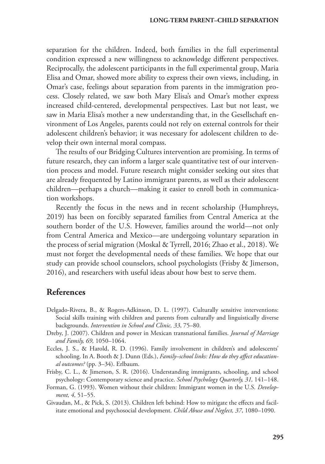separation for the children. Indeed, both families in the full experimental condition expressed a new willingness to acknowledge different perspectives. Reciprocally, the adolescent participants in the full experimental group, Maria Elisa and Omar, showed more ability to express their own views, including, in Omar's case, feelings about separation from parents in the immigration process. Closely related, we saw both Mary Elisa's and Omar's mother express increased child-centered, developmental perspectives. Last but not least, we saw in Maria Elisa's mother a new understanding that, in the Gesellschaft environment of Los Angeles, parents could not rely on external controls for their adolescent children's behavior; it was necessary for adolescent children to develop their own internal moral compass.

The results of our Bridging Cultures intervention are promising. In terms of future research, they can inform a larger scale quantitative test of our intervention process and model. Future research might consider seeking out sites that are already frequented by Latino immigrant parents, as well as their adolescent children—perhaps a church—making it easier to enroll both in communication workshops.

Recently the focus in the news and in recent scholarship (Humphreys, 2019) has been on forcibly separated families from Central America at the southern border of the U.S. However, families around the world—not only from Central America and Mexico—are undergoing voluntary separation in the process of serial migration (Moskal & Tyrrell, 2016; Zhao et al., 2018). We must not forget the developmental needs of these families. We hope that our study can provide school counselors, school psychologists (Frisby & Jimerson, 2016), and researchers with useful ideas about how best to serve them.

# **References**

- Delgado-Rivera, B., & Rogers-Adkinson, D. L. (1997). Culturally sensitive interventions: Social skills training with children and parents from culturally and linguistically diverse backgrounds. *Intervention in School and Clinic, 33*, 75–80.
- Dreby, J. (2007). Children and power in Mexican transnational families. *Journal of Marriage and Family, 69,* 1050–1064.
- Eccles, J. S., & Harold, R. D. (1996). Family involvement in children's and adolescents' schooling. In A. Booth & J. Dunn (Eds.), *Family–school links: How do they affect educational outcomes?* (pp. 3–34). Erlbaum.
- Frisby, C. L., & Jimerson, S. R. (2016). Understanding immigrants, schooling, and school psychology: Contemporary science and practice. *School Psychology Quarterly, 31,* 141–148.
- Forman, G. (1993). Women without their children: Immigrant women in the U.S. *Development, 4,* 51–55.
- Givaudan, M., & Pick, S. (2013). Children left behind: How to mitigate the effects and facilitate emotional and psychosocial development. *Child Abuse and Neglect, 37*, 1080–1090.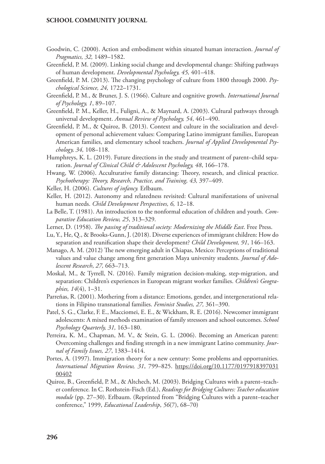- Goodwin, C. (2000). Action and embodiment within situated human interaction. *Journal of Pragmatics, 32,* 1489–1582.
- Greenfield, P. M. (2009). Linking social change and developmental change: Shifting pathways of human development. *Developmental Psychology, 45,* 401–418.
- Greenfield, P. M. (2013). The changing psychology of culture from 1800 through 2000. *Psychological Science, 24,* 1722–1731.
- Greenfield, P. M., & Bruner, J. S. (1966). Culture and cognitive growth. *International Journal of Psychology, 1*, 89–107.
- Greenfield, P. M., Keller, H., Fuligni, A., & Maynard, A. (2003). Cultural pathways through universal development. *Annual Review of Psychology, 54*, 461–490.
- Greenfield, P. M., & Quiroz, B. (2013). Context and culture in the socialization and development of personal achievement values: Comparing Latino immigrant families, European American families, and elementary school teachers. *Journal of Applied Developmental Psychology, 34,* 108–118.
- Humphreys, K. L. (2019). Future directions in the study and treatment of parent–child separation. *Journal of Clinical Child & Adolescent Psychology, 48*, 166–178.
- Hwang, W. (2006). Acculturative family distancing: Theory, research, and clinical practice. *Psychotherapy: Theory, Research, Practice, and Training, 43,* 397–409.
- Keller, H. (2006). *Cultures of infancy.* Erlbaum.
- Keller, H. (2012). Autonomy and relatedness revisited: Cultural manifestations of universal human needs. *Child Development Perspectives, 6,* 12–18.
- La Belle, T. (1981). An introduction to the nonformal education of children and youth. *Comparative Education Review, 25*, 313–329.
- Lerner, D. (1958). *The passing of traditional society: Modernizing the Middle East*. Free Press.
- Lu, Y., He, Q., & Brooks-Gunn, J. (2018). Diverse experiences of immigrant children: How do separation and reunification shape their development? *Child Development, 91*, 146–163.
- Manago, A. M. (2012) The new emerging adult in Chiapas, Mexico: Perceptions of traditional values and value change among first generation Maya university students. *Journal of Adolescent Research*, *27,* 663–713.
- Moskal, M., & Tyrrell, N. (2016). Family migration decision-making, step-migration, and separation: Children's experiences in European migrant worker families. *Children's Geographies, 14*(4), 1–31.
- Parreñas, R. (2001). Mothering from a distance: Emotions, gender, and intergenerational relations in Filipino transnational families. *Feminist Studies, 27,* 361–390.
- Patel, S. G., Clarke, F. E., Macciomei, E. E., & Wickham, R. E. (2016). Newcomer immigrant adolescents: A mixed methods examination of family stressors and school outcomes. *School Psychology Quarterly, 31,* 163–180.
- Perreira, K. M., Chapman, M. V., & Stein, G. L. (2006). Becoming an American parent: Overcoming challenges and finding strength in a new immigrant Latino community. *Journal of Family Issues, 27*, 1383–1414.
- Portes, A. (1997). Immigration theory for a new century: Some problems and opportunities. *International Migration Review, 31*, 799–825. [https://doi.org/10.1177/0197918397031](https://doi.org/10.1177%2F019791839703100402) [00402](https://doi.org/10.1177%2F019791839703100402)
- Quiroz, B., Greenfield, P. M., & Altchech, M. (2003). Bridging Cultures with a parent–teacher conference*.* In C. Rothstein-Fisch (Ed.), *Readings for Bridging Cultures: Teacher education module* (pp. 27–30). Erlbaum. (Reprinted from "Bridging Cultures with a parent–teacher conference," 1999, *Educational Leadership*, *56*(7), 68–70)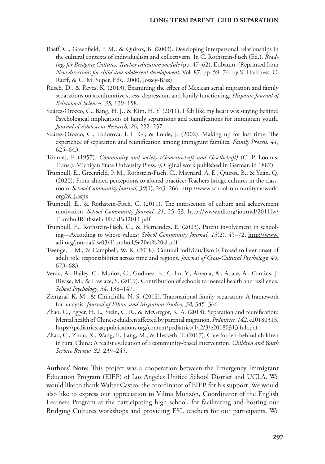- Raeff, C., Greenfield, P. M., & Quiroz, B. (2003). Developing interpersonal relationships in the cultural contexts of individualism and collectivism. In C. Rothstein-Fisch (Ed.), *Readings for Bridging Cultures: Teacher education module* (pp. 47–62). Erlbaum. (Reprinted from *New directions for child and adolescent development*, Vol. 87, pp. 59–74, by S. Harkness, C. Raeff, & C. M. Super, Eds., 2000, Jossey-Bass)
- Rusch, D., & Reyes, K. (2013). Examining the effect of Mexican serial migration and family separations on acculturative stress, depression, and family functioning. *Hispanic Journal of Behavioral Sciences, 35,* 139–158.
- Suárez-Orozco, C., Bang, H. J., & Kim, H. Y. (2011). I felt like my heart was staying behind: Psychological implications of family separations and reunifications for immigrant youth. *Journal of Adolescent Research, 26*, 222–257.
- Suárez-Orozco, C., Todorova, I. L. G., & Louie, J. (2002). Making up for lost time: The experience of separation and reunification among immigrant families. *Family Process, 41*, 625–643.
- Tönnies, F. (1957). *Community and society (Gemeinschaft und Gesellschaft)* (C. P. Loomis, Trans.). Michigan State University Press. (Original work published in German in 1887)
- Trumbull, E., Greenfield, P. M., Rothstein-Fisch, C., Maynard, A. E., Quiroz, B., & Yuan, Q. (2020). From altered perceptions to altered practice: Teachers bridge cultures in the classroom. *School Community Journal, 30*(1), 243–266. [http://www.schoolcommunitynetwork.](http://www.schoolcommunitynetwork.org/SCJ.aspx) [org/SCJ.aspx](http://www.schoolcommunitynetwork.org/SCJ.aspx)
- Trumbull, E., & Rothstein-Fisch, C. (2011). The intersection of culture and achievement motivation. *School Community Journal, 21,* 25–53. [http://www.adi.org/journal/2011fw/](http://www.adi.org/journal/2011fw/TrumbullRothstein-FischFall2011.pdf) [TrumbullRothstein-FischFall2011.pdf](http://www.adi.org/journal/2011fw/TrumbullRothstein-FischFall2011.pdf)
- Trumbull, E., Rothstein-Fisch, C., & Hernandez, E. (2003). Parent involvement in schooling—According to whose values? *School Community Journal*, *13*(2), 45–72. [http://www.](http://www.adi.org/journal/fw03/Trumbull,%20et%20al.pdf) [adi.org/journal/fw03/Trumbull,%20et%20al.pdf](http://www.adi.org/journal/fw03/Trumbull,%20et%20al.pdf)
- Twenge, J. M., & Campbell, W. K. (2018). Cultural individualism is linked to later onset of adult role responsibilities across time and regions. *Journal of Cross-Cultural Psychology, 49*, 673–683.
- Venta, A., Bailey, C., Muñoz, C., Godinez, E., Colin, Y., Arreola, A., Abate, A., Camins, J. Rivase, M., & Lawlace, S. (2019). Contribution of schools to mental health and resilience. *School Psychology*, *34,* 138–147.
- Zentgraf, K. M., & Chinchilla, N. S. (2012). Transnational family separation: A framework for analysis. *Journal of Ethnic and Migration Studies, 38,* 345–366.
- Zhao, C., Egger, H. L., Stein, C. R., & McGregor, K. A. (2018). Separation and reunification: Mental health of Chinese children affected by parental migration. *Pediatrics, 142*, e20180313. <https://pediatrics.aappublications.org/content/pediatrics/142/3/e20180313.full.pdf>
- Zhao, C., Zhou, X., Wang, F., Jiang, M., & Hesketh, T. (2017). Care for left-behind children in rural China: A realist evaluation of a community-based intervention. *Children and Youth Service Review, 82*, 239–245.

**Authors' Note:** This project was a cooperation between the Emergency Immigrant Education Program (EIEP) of Los Angeles Unified School District and UCLA. We would like to thank Walter Castro, the coordinator of EIEP, for his support. We would also like to express our appreciation to Vilma Monzón, Coordinator of the English Learners Program at the participating high school, for facilitating and hosting our Bridging Cultures workshops and providing ESL teachers for our participants. We